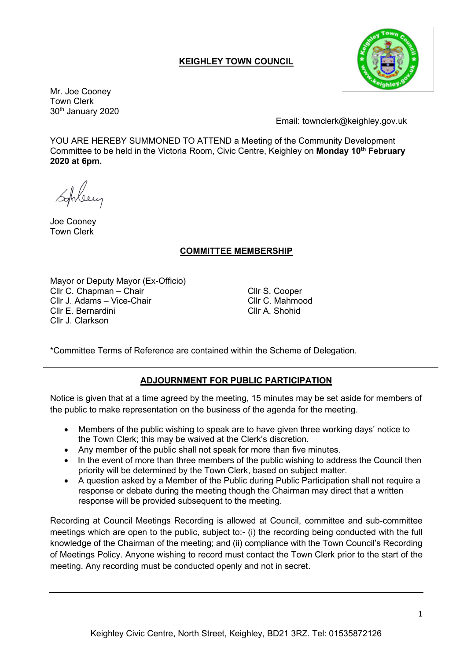# **KEIGHLEY TOWN COUNCIL**



Mr. Joe Cooney Town Clerk 30th January 2020

Email: townclerk@keighley.gov.uk

YOU ARE HEREBY SUMMONED TO ATTEND a Meeting of the Community Development Committee to be held in the Victoria Room, Civic Centre, Keighley on **Monday 10th February 2020 at 6pm.**

Joe Cooney Town Clerk

## **COMMITTEE MEMBERSHIP**

Mayor or Deputy Mayor (Ex-Officio) Cllr C. Chapman – Chair Cllr S. Cooper Cllr J. Adams – Vice-Chair Cllr C. Mahmood Cllr E. Bernardini Cllr A. Shohid Cllr J. Clarkson

\*Committee Terms of Reference are contained within the Scheme of Delegation.

## **ADJOURNMENT FOR PUBLIC PARTICIPATION**

Notice is given that at a time agreed by the meeting, 15 minutes may be set aside for members of the public to make representation on the business of the agenda for the meeting.

- Members of the public wishing to speak are to have given three working days' notice to the Town Clerk; this may be waived at the Clerk's discretion.
- Any member of the public shall not speak for more than five minutes.
- In the event of more than three members of the public wishing to address the Council then priority will be determined by the Town Clerk, based on subject matter.
- A question asked by a Member of the Public during Public Participation shall not require a response or debate during the meeting though the Chairman may direct that a written response will be provided subsequent to the meeting.

Recording at Council Meetings Recording is allowed at Council, committee and sub-committee meetings which are open to the public, subject to:- (i) the recording being conducted with the full knowledge of the Chairman of the meeting; and (ii) compliance with the Town Council's Recording of Meetings Policy. Anyone wishing to record must contact the Town Clerk prior to the start of the meeting. Any recording must be conducted openly and not in secret.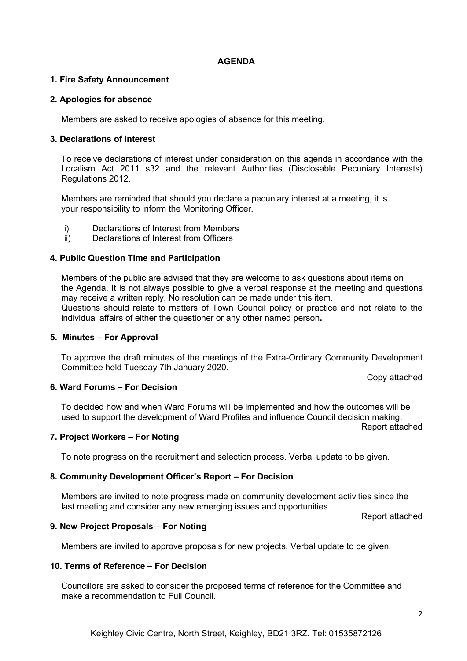## **AGENDA**

## **1. Fire Safety Announcement**

## **2. Apologies for absence**

Members are asked to receive apologies of absence for this meeting.

## **3. Declarations of Interest**

To receive declarations of interest under consideration on this agenda in accordance with the Localism Act 2011 s32 and the relevant Authorities (Disclosable Pecuniary Interests) Regulations 2012.

Members are reminded that should you declare a pecuniary interest at a meeting, it is your responsibility to inform the Monitoring Officer.

- i) Declarations of Interest from Members
- ii) Declarations of Interest from Officers

## **4. Public Question Time and Participation**

Members of the public are advised that they are welcome to ask questions about items on the Agenda. It is not always possible to give a verbal response at the meeting and questions may receive a written reply. No resolution can be made under this item. Questions should relate to matters of Town Council policy or practice and not relate to the individual affairs of either the questioner or any other named person**.**

## **5. Minutes – For Approval**

To approve the draft minutes of the meetings of the Extra-Ordinary Community Development Committee held Tuesday 7th January 2020.

Copy attached

### **6. Ward Forums – For Decision**

To decided how and when Ward Forums will be implemented and how the outcomes will be used to support the development of Ward Profiles and influence Council decision making.

Report attached

### **7. Project Workers – For Noting**

To note progress on the recruitment and selection process. Verbal update to be given.

### **8. Community Development Officer's Report – For Decision**

Members are invited to note progress made on community development activities since the last meeting and consider any new emerging issues and opportunities.

Report attached

### **9. New Project Proposals – For Noting**

Members are invited to approve proposals for new projects. Verbal update to be given.

### **10. Terms of Reference – For Decision**

Councillors are asked to consider the proposed terms of reference for the Committee and make a recommendation to Full Council.